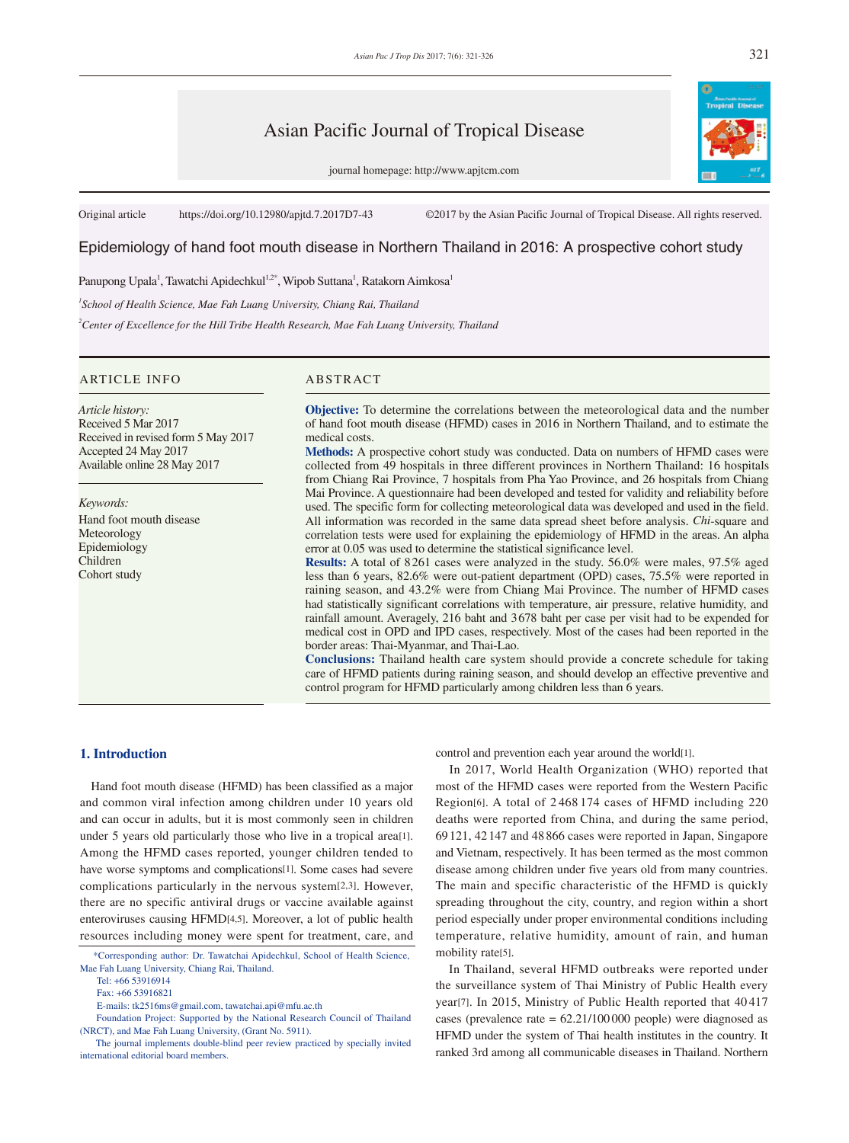# Asian Pacific Journal of Tropical Disease

journal homepage: http://www.apjtcm.com

Original article https://doi.org/10.12980/apjtd.7.2017D7-43 ©2017 by the Asian Pacific Journal of Tropical Disease. All rights reserved.

# Epidemiology of hand foot mouth disease in Northern Thailand in 2016: A prospective cohort study

Panupong Upala<sup>1</sup>, Tawatchi Apidechkul<sup>1,2\*</sup>, Wipob Suttana<sup>1</sup>, Ratakorn Aimkosa<sup>1</sup>

*1 School of Health Science, Mae Fah Luang University, Chiang Rai, Thailand*

*2 Center of Excellence for the Hill Tribe Health Research, Mae Fah Luang University, Thailand*

# ARTICLE INFO ABSTRACT

*Article history:* Received 5 Mar 2017 Received in revised form 5 May 2017 Accepted 24 May 2017 Available online 28 May 2017

*Keywords:* Hand foot mouth disease Meteorology Epidemiology Children Cohort study

**Objective:** To determine the correlations between the meteorological data and the number of hand foot mouth disease (HFMD) cases in 2016 in Northern Thailand, and to estimate the medical costs.

**Methods:** A prospective cohort study was conducted. Data on numbers of HFMD cases were collected from 49 hospitals in three different provinces in Northern Thailand: 16 hospitals from Chiang Rai Province, 7 hospitals from Pha Yao Province, and 26 hospitals from Chiang Mai Province. A questionnaire had been developed and tested for validity and reliability before used. The specific form for collecting meteorological data was developed and used in the field. All information was recorded in the same data spread sheet before analysis. *Chi*-square and correlation tests were used for explaining the epidemiology of HFMD in the areas. An alpha error at 0.05 was used to determine the statistical significance level.

**Results:** A total of 8261 cases were analyzed in the study. 56.0% were males, 97.5% aged less than 6 years, 82.6% were out-patient department (OPD) cases, 75.5% were reported in raining season, and 43.2% were from Chiang Mai Province. The number of HFMD cases had statistically significant correlations with temperature, air pressure, relative humidity, and rainfall amount. Averagely, 216 baht and 3678 baht per case per visit had to be expended for medical cost in OPD and IPD cases, respectively. Most of the cases had been reported in the border areas: Thai-Myanmar, and Thai-Lao.

**Conclusions:** Thailand health care system should provide a concrete schedule for taking care of HFMD patients during raining season, and should develop an effective preventive and control program for HFMD particularly among children less than 6 years.

## **1. Introduction**

 Hand foot mouth disease (HFMD) has been classified as a major and common viral infection among children under 10 years old and can occur in adults, but it is most commonly seen in children under 5 years old particularly those who live in a tropical area[1]. Among the HFMD cases reported, younger children tended to have worse symptoms and complications[1]. Some cases had severe complications particularly in the nervous system[2,3]. However, there are no specific antiviral drugs or vaccine available against enteroviruses causing HFMD[4,5]. Moreover, a lot of public health resources including money were spent for treatment, care, and

Tel: +66 53916914

control and prevention each year around the world[1].

 In 2017, World Health Organization (WHO) reported that most of the HFMD cases were reported from the Western Pacific Region[6]. A total of 2 468 174 cases of HFMD including 220 deaths were reported from China, and during the same period, 69121, 42147 and 48 866 cases were reported in Japan, Singapore and Vietnam, respectively. It has been termed as the most common disease among children under five years old from many countries. The main and specific characteristic of the HFMD is quickly spreading throughout the city, country, and region within a short period especially under proper environmental conditions including temperature, relative humidity, amount of rain, and human mobility rate[5].

 In Thailand, several HFMD outbreaks were reported under the surveillance system of Thai Ministry of Public Health every year[7]. In 2015, Ministry of Public Health reported that 40 417 cases (prevalence rate = 62.21/100 000 people) were diagnosed as HFMD under the system of Thai health institutes in the country. It ranked 3rd among all communicable diseases in Thailand. Northern



 <sup>\*</sup>Corresponding author: Dr. Tawatchai Apidechkul, School of Health Science, Mae Fah Luang University, Chiang Rai, Thailand.

Fax: +66 53916821

E-mails: tk2516ms@gmail.com, tawatchai.api@mfu.ac.th

Foundation Project: Supported by the National Research Council of Thailand (NRCT), and Mae Fah Luang University, (Grant No. 5911).

The journal implements double-blind peer review practiced by specially invited international editorial board members.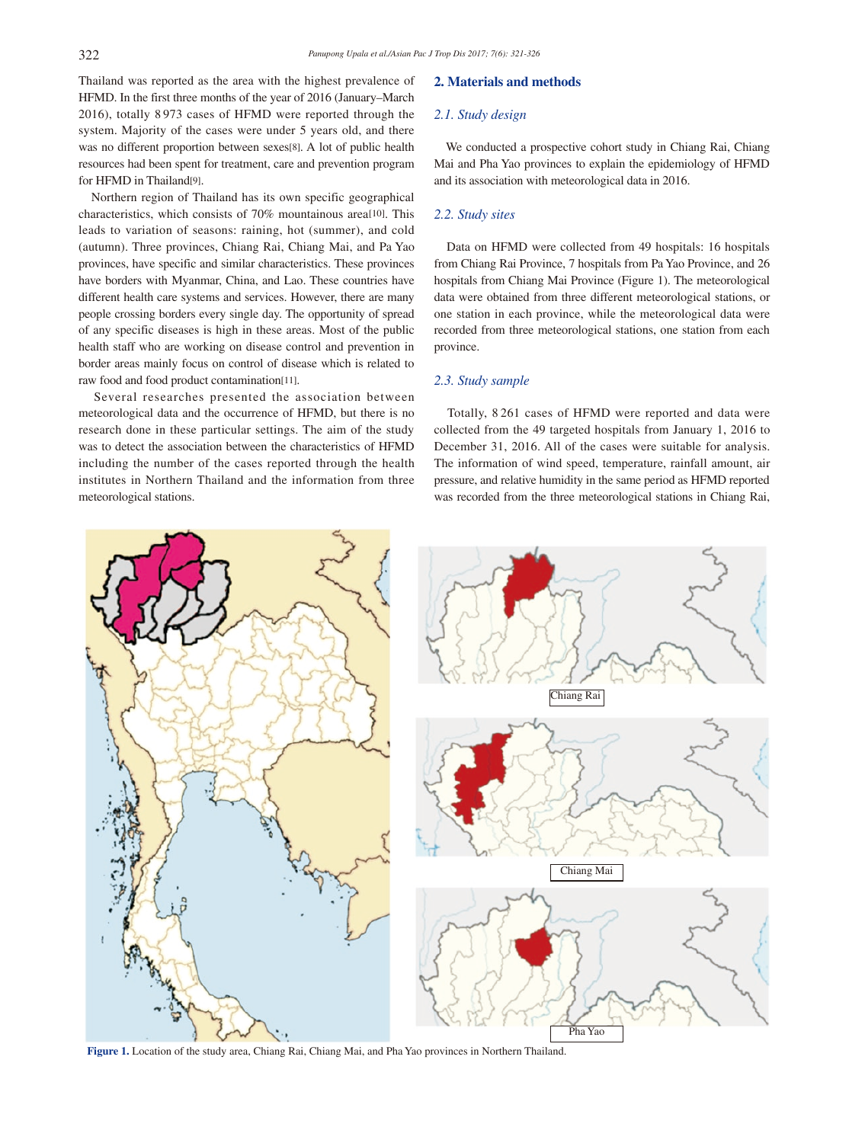Thailand was reported as the area with the highest prevalence of HFMD. In the first three months of the year of 2016 (January–March 2016), totally 8 973 cases of HFMD were reported through the system. Majority of the cases were under 5 years old, and there was no different proportion between sexes[8]. A lot of public health resources had been spent for treatment, care and prevention program for HFMD in Thailand[9].

 Northern region of Thailand has its own specific geographical characteristics, which consists of 70% mountainous area[10]. This leads to variation of seasons: raining, hot (summer), and cold (autumn). Three provinces, Chiang Rai, Chiang Mai, and Pa Yao provinces, have specific and similar characteristics. These provinces have borders with Myanmar, China, and Lao. These countries have different health care systems and services. However, there are many people crossing borders every single day. The opportunity of spread of any specific diseases is high in these areas. Most of the public health staff who are working on disease control and prevention in border areas mainly focus on control of disease which is related to raw food and food product contamination[11].

 Several researches presented the association between meteorological data and the occurrence of HFMD, but there is no research done in these particular settings. The aim of the study was to detect the association between the characteristics of HFMD including the number of the cases reported through the health institutes in Northern Thailand and the information from three meteorological stations.

#### **2. Materials and methods**

#### *2.1. Study design*

 We conducted a prospective cohort study in Chiang Rai, Chiang Mai and Pha Yao provinces to explain the epidemiology of HFMD and its association with meteorological data in 2016.

### *2.2. Study sites*

 Data on HFMD were collected from 49 hospitals: 16 hospitals from Chiang Rai Province, 7 hospitals from Pa Yao Province, and 26 hospitals from Chiang Mai Province (Figure 1). The meteorological data were obtained from three different meteorological stations, or one station in each province, while the meteorological data were recorded from three meteorological stations, one station from each province.

#### *2.3. Study sample*

 Totally, 8 261 cases of HFMD were reported and data were collected from the 49 targeted hospitals from January 1, 2016 to December 31, 2016. All of the cases were suitable for analysis. The information of wind speed, temperature, rainfall amount, air pressure, and relative humidity in the same period as HFMD reported was recorded from the three meteorological stations in Chiang Rai,



**Figure 1.** Location of the study area, Chiang Rai, Chiang Mai, and Pha Yao provinces in Northern Thailand.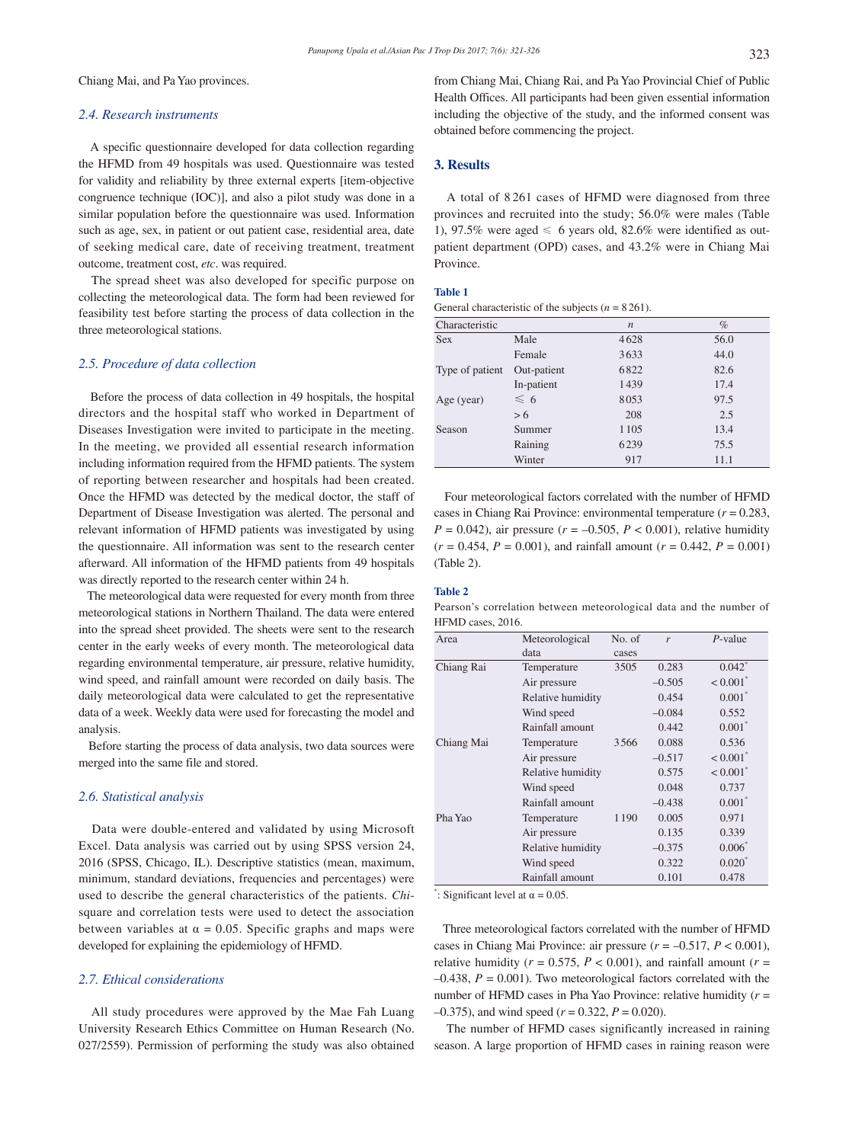Chiang Mai, and Pa Yao provinces.

#### *2.4. Research instruments*

 A specific questionnaire developed for data collection regarding the HFMD from 49 hospitals was used. Questionnaire was tested for validity and reliability by three external experts [item-objective congruence technique (IOC)], and also a pilot study was done in a similar population before the questionnaire was used. Information such as age, sex, in patient or out patient case, residential area, date of seeking medical care, date of receiving treatment, treatment outcome, treatment cost, *etc*. was required.

 The spread sheet was also developed for specific purpose on collecting the meteorological data. The form had been reviewed for feasibility test before starting the process of data collection in the three meteorological stations.

#### *2.5. Procedure of data collection*

 Before the process of data collection in 49 hospitals, the hospital directors and the hospital staff who worked in Department of Diseases Investigation were invited to participate in the meeting. In the meeting, we provided all essential research information including information required from the HFMD patients. The system of reporting between researcher and hospitals had been created. Once the HFMD was detected by the medical doctor, the staff of Department of Disease Investigation was alerted. The personal and relevant information of HFMD patients was investigated by using the questionnaire. All information was sent to the research center afterward. All information of the HFMD patients from 49 hospitals was directly reported to the research center within 24 h.

 The meteorological data were requested for every month from three meteorological stations in Northern Thailand. The data were entered into the spread sheet provided. The sheets were sent to the research center in the early weeks of every month. The meteorological data regarding environmental temperature, air pressure, relative humidity, wind speed, and rainfall amount were recorded on daily basis. The daily meteorological data were calculated to get the representative data of a week. Weekly data were used for forecasting the model and analysis.

 Before starting the process of data analysis, two data sources were merged into the same file and stored.

#### *2.6. Statistical analysis*

 Data were double-entered and validated by using Microsoft Excel. Data analysis was carried out by using SPSS version 24, 2016 (SPSS, Chicago, IL). Descriptive statistics (mean, maximum, minimum, standard deviations, frequencies and percentages) were used to describe the general characteristics of the patients. *Chi*square and correlation tests were used to detect the association between variables at  $\alpha = 0.05$ . Specific graphs and maps were developed for explaining the epidemiology of HFMD.

# *2.7. Ethical considerations*

 All study procedures were approved by the Mae Fah Luang University Research Ethics Committee on Human Research (No. 027/2559). Permission of performing the study was also obtained from Chiang Mai, Chiang Rai, and Pa Yao Provincial Chief of Public Health Offices. All participants had been given essential information including the objective of the study, and the informed consent was obtained before commencing the project.

#### **3. Results**

 A total of 8 261 cases of HFMD were diagnosed from three provinces and recruited into the study; 56.0% were males (Table 1), 97.5% were aged  $\leq 6$  years old, 82.6% were identified as outpatient department (OPD) cases, and 43.2% were in Chiang Mai Province.

#### **Table 1**

General characteristic of the subjects  $(n = 8261)$ .

| Characteristic  |               | $\boldsymbol{n}$ | $\%$ |
|-----------------|---------------|------------------|------|
| <b>Sex</b>      | Male          | 4628             | 56.0 |
|                 | Female        | 3633             | 44.0 |
| Type of patient | Out-patient   | 6822             | 82.6 |
|                 | In-patient    | 1439             | 17.4 |
| Age (year)      | $\leqslant$ 6 | 8053             | 97.5 |
|                 | > 6           | 208              | 2.5  |
| Season          | Summer        | 1 1 0 5          | 13.4 |
|                 | Raining       | 6239             | 75.5 |
|                 | Winter        | 917              | 11.1 |

 Four meteorological factors correlated with the number of HFMD cases in Chiang Rai Province: environmental temperature (*r* = 0.283, *P* = 0.042), air pressure ( $r = -0.505$ ,  $P < 0.001$ ), relative humidity  $(r = 0.454, P = 0.001)$ , and rainfall amount  $(r = 0.442, P = 0.001)$ (Table 2).

#### **Table 2**

Pearson's correlation between meteorological data and the number of HFMD cases, 2016.

| Area       | Meteorological    | No. of  | r        | $P$ -value             |  |
|------------|-------------------|---------|----------|------------------------|--|
|            | data              | cases   |          |                        |  |
| Chiang Rai | Temperature       | 3505    | 0.283    | $0.042$ <sup>*</sup>   |  |
|            | Air pressure      |         | $-0.505$ | $< 0.001$ <sup>*</sup> |  |
|            | Relative humidity |         | 0.454    | $0.001^*$              |  |
|            | Wind speed        |         | $-0.084$ | 0.552                  |  |
|            | Rainfall amount   |         | 0.442    | $0.001^*$              |  |
| Chiang Mai | Temperature       | 3566    | 0.088    | 0.536                  |  |
|            | Air pressure      |         | $-0.517$ | $< 0.001$ <sup>*</sup> |  |
|            | Relative humidity |         | 0.575    | $< 0.001$ <sup>*</sup> |  |
|            | Wind speed        |         | 0.048    | 0.737                  |  |
|            | Rainfall amount   |         | $-0.438$ | $0.001$ <sup>*</sup>   |  |
| Pha Yao    | Temperature       | 1 1 9 0 | 0.005    | 0.971                  |  |
|            | Air pressure      |         | 0.135    | 0.339                  |  |
|            | Relative humidity |         | $-0.375$ | $0.006^{\degree}$      |  |
|            | Wind speed        |         | 0.322    | $0.020^{*}$            |  |
|            | Rainfall amount   |         | 0.101    | 0.478                  |  |

": Significant level at  $\alpha = 0.05$ .

 Three meteorological factors correlated with the number of HFMD cases in Chiang Mai Province: air pressure (*r* = –0.517, *P* < 0.001), relative humidity ( $r = 0.575$ ,  $P < 0.001$ ), and rainfall amount ( $r =$  $-0.438$ ,  $P = 0.001$ ). Two meteorological factors correlated with the number of HFMD cases in Pha Yao Province: relative humidity (*r* =  $-0.375$ ), and wind speed ( $r = 0.322$ ,  $P = 0.020$ ).

 The number of HFMD cases significantly increased in raining season. A large proportion of HFMD cases in raining reason were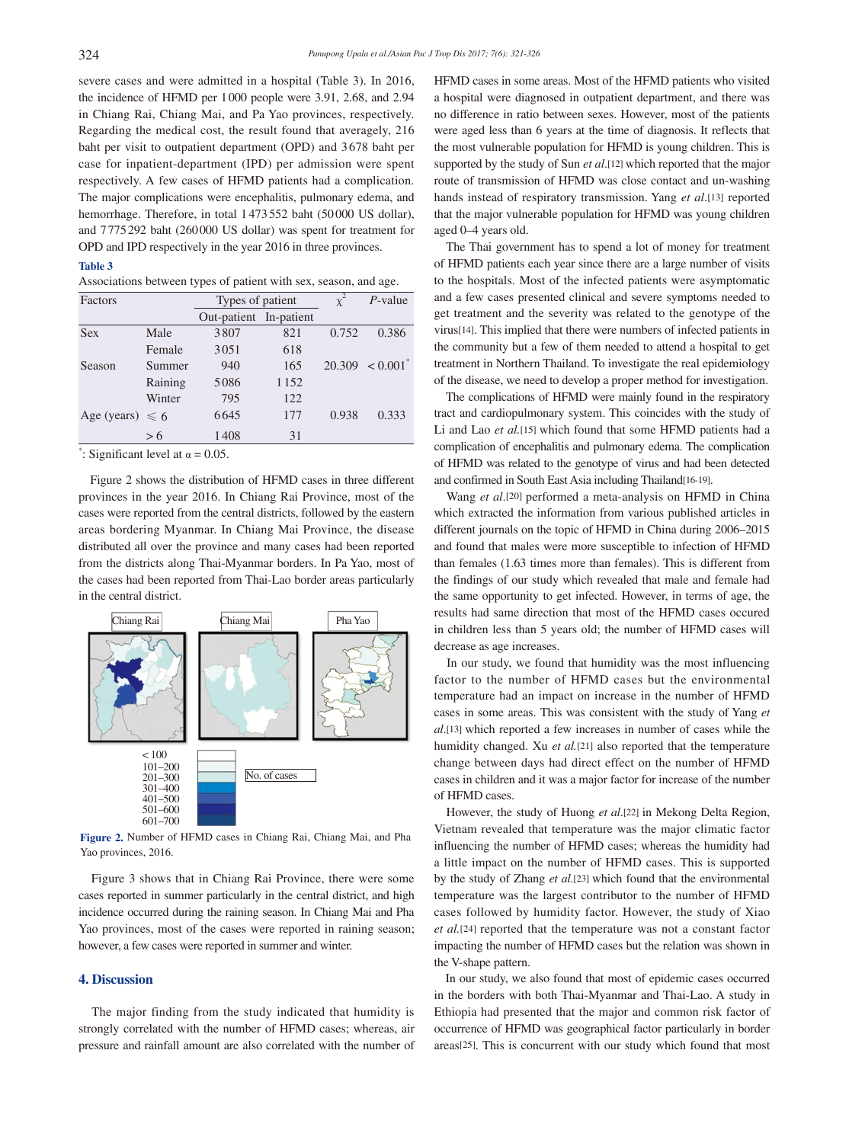severe cases and were admitted in a hospital (Table 3). In 2016, the incidence of HFMD per 1000 people were 3.91, 2.68, and 2.94 in Chiang Rai, Chiang Mai, and Pa Yao provinces, respectively. Regarding the medical cost, the result found that averagely, 216 baht per visit to outpatient department (OPD) and 3 678 baht per case for inpatient-department (IPD) per admission were spent respectively. A few cases of HFMD patients had a complication. The major complications were encephalitis, pulmonary edema, and hemorrhage. Therefore, in total 1 473552 baht (50000 US dollar), and 7775292 baht (260000 US dollar) was spent for treatment for OPD and IPD respectively in the year 2016 in three provinces.

#### **Table 3**

Associations between types of patient with sex, season, and age.

| Factors              |         | Types of patient       |      | $\chi^2$ | $P$ -value             |
|----------------------|---------|------------------------|------|----------|------------------------|
|                      |         | Out-patient In-patient |      |          |                        |
| Sex                  | Male    | 3807                   | 821  | 0.752    | 0.386                  |
|                      | Female  | 3051                   | 618  |          |                        |
| Season               | Summer  | 940                    | 165  | 20.309   | $< 0.001$ <sup>*</sup> |
|                      | Raining | 5086                   | 1152 |          |                        |
|                      | Winter  | 795                    | 122  |          |                        |
| Age (years) $\leq 6$ |         | 6645                   | 177  | 0.938    | 0.333                  |
|                      | > 6     | 1408                   | 31   |          |                        |

": Significant level at  $\alpha = 0.05$ .

 Figure 2 shows the distribution of HFMD cases in three different provinces in the year 2016. In Chiang Rai Province, most of the cases were reported from the central districts, followed by the eastern areas bordering Myanmar. In Chiang Mai Province, the disease distributed all over the province and many cases had been reported from the districts along Thai-Myanmar borders. In Pa Yao, most of the cases had been reported from Thai-Lao border areas particularly in the central district.



**Figure 2.** Number of HFMD cases in Chiang Rai, Chiang Mai, and Pha Yao provinces, 2016.

 Figure 3 shows that in Chiang Rai Province, there were some cases reported in summer particularly in the central district, and high incidence occurred during the raining season. In Chiang Mai and Pha Yao provinces, most of the cases were reported in raining season; however, a few cases were reported in summer and winter.

# **4. Discussion**

 The major finding from the study indicated that humidity is strongly correlated with the number of HFMD cases; whereas, air pressure and rainfall amount are also correlated with the number of

HFMD cases in some areas. Most of the HFMD patients who visited a hospital were diagnosed in outpatient department, and there was no difference in ratio between sexes. However, most of the patients were aged less than 6 years at the time of diagnosis. It reflects that the most vulnerable population for HFMD is young children. This is supported by the study of Sun *et al*.[12] which reported that the major route of transmission of HFMD was close contact and un-washing hands instead of respiratory transmission. Yang *et al*.[13] reported that the major vulnerable population for HFMD was young children aged 0–4 years old.

 The Thai government has to spend a lot of money for treatment of HFMD patients each year since there are a large number of visits to the hospitals. Most of the infected patients were asymptomatic and a few cases presented clinical and severe symptoms needed to get treatment and the severity was related to the genotype of the virus[14]. This implied that there were numbers of infected patients in the community but a few of them needed to attend a hospital to get treatment in Northern Thailand. To investigate the real epidemiology of the disease, we need to develop a proper method for investigation.

 The complications of HFMD were mainly found in the respiratory tract and cardiopulmonary system. This coincides with the study of Li and Lao *et al.*[15] which found that some HFMD patients had a complication of encephalitis and pulmonary edema. The complication of HFMD was related to the genotype of virus and had been detected and confirmed in South East Asia including Thailand[16-19].

 Wang *et al*.[20] performed a meta-analysis on HFMD in China which extracted the information from various published articles in different journals on the topic of HFMD in China during 2006–2015 and found that males were more susceptible to infection of HFMD than females (1.63 times more than females). This is different from the findings of our study which revealed that male and female had the same opportunity to get infected. However, in terms of age, the results had same direction that most of the HFMD cases occured in children less than 5 years old; the number of HFMD cases will decrease as age increases.

 In our study, we found that humidity was the most influencing factor to the number of HFMD cases but the environmental temperature had an impact on increase in the number of HFMD cases in some areas. This was consistent with the study of Yang *et al*.[13] which reported a few increases in number of cases while the humidity changed. Xu *et al.*[21] also reported that the temperature change between days had direct effect on the number of HFMD cases in children and it was a major factor for increase of the number of HFMD cases.

 However, the study of Huong *et al*.[22] in Mekong Delta Region, Vietnam revealed that temperature was the major climatic factor influencing the number of HFMD cases; whereas the humidity had a little impact on the number of HFMD cases. This is supported by the study of Zhang *et al*.[23] which found that the environmental temperature was the largest contributor to the number of HFMD cases followed by humidity factor. However, the study of Xiao *et al.*[24] reported that the temperature was not a constant factor impacting the number of HFMD cases but the relation was shown in the V-shape pattern.

 In our study, we also found that most of epidemic cases occurred in the borders with both Thai-Myanmar and Thai-Lao. A study in Ethiopia had presented that the major and common risk factor of occurrence of HFMD was geographical factor particularly in border areas[25]. This is concurrent with our study which found that most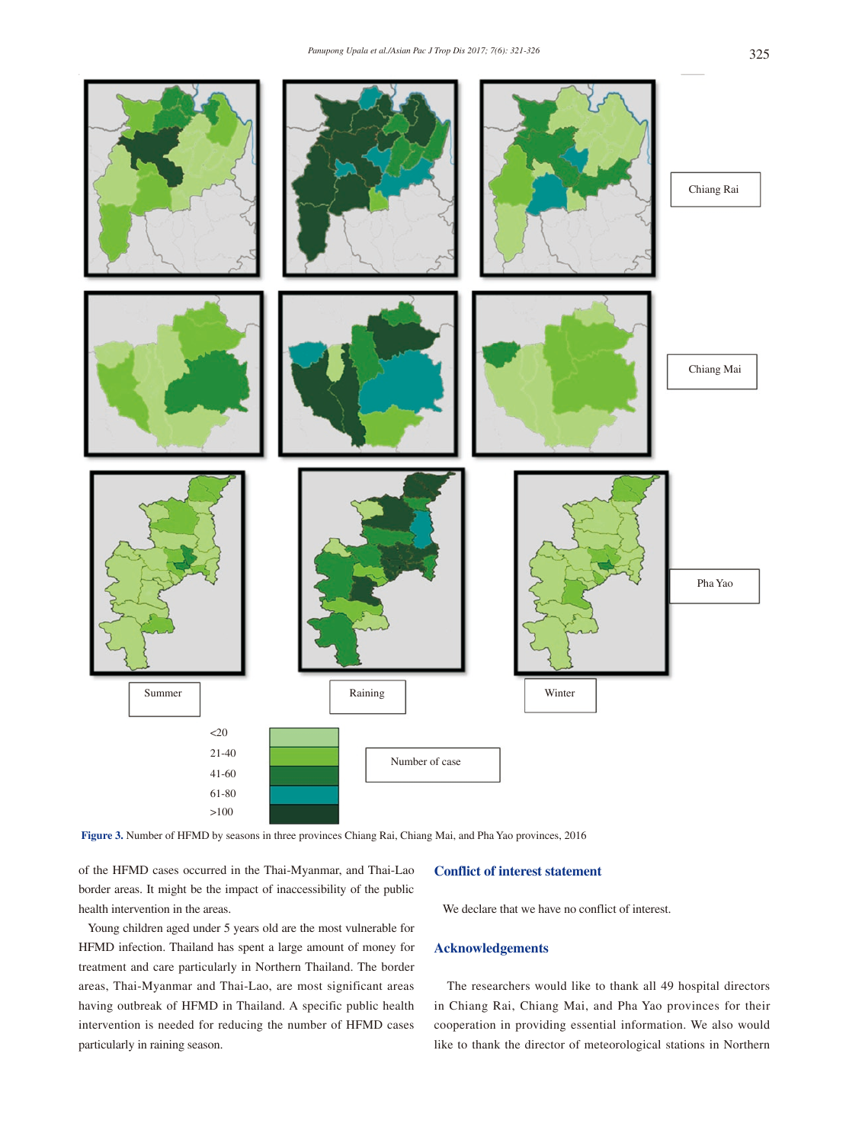

**Figure 3.** Number of HFMD by seasons in three provinces Chiang Rai, Chiang Mai, and Pha Yao provinces, 2016

of the HFMD cases occurred in the Thai-Myanmar, and Thai-Lao border areas. It might be the impact of inaccessibility of the public health intervention in the areas.

 Young children aged under 5 years old are the most vulnerable for HFMD infection. Thailand has spent a large amount of money for treatment and care particularly in Northern Thailand. The border areas, Thai-Myanmar and Thai-Lao, are most significant areas having outbreak of HFMD in Thailand. A specific public health intervention is needed for reducing the number of HFMD cases particularly in raining season.

### **Conflict of interest statement**

We declare that we have no conflict of interest.

#### **Acknowledgements**

 The researchers would like to thank all 49 hospital directors in Chiang Rai, Chiang Mai, and Pha Yao provinces for their cooperation in providing essential information. We also would like to thank the director of meteorological stations in Northern